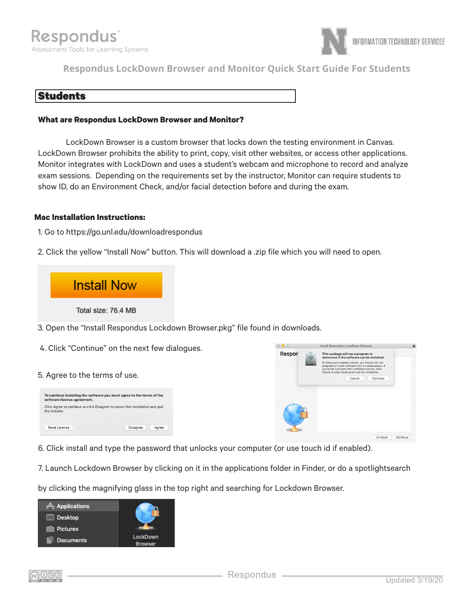

**Respondus LockDown Browser and Monitor Quick Start Guide For Students**

# Students

#### **What are Respondus LockDown Browser and Monitor?**

LockDown Browser is a custom browser that locks down the testing environment in Canvas. LockDown Browser prohibits the ability to print, copy, visit other websites, or access other applications. Monitor integrates with LockDown and uses a student's webcam and microphone to record and analyze exam sessions. Depending on the requirements set by the instructor, Monitor can require students to show ID, do an Environment Check, and/or facial detection before and during the exam.

#### **Mac Installation Instructions:**

- 1. Go to https://go.unl.edu/downloadrespondus
- 2. Click the yellow "Install Now" button. This will download a .zip file which you will need to open.



- 3. Open the "Install Respondus Lockdown Browser.pkg" file found in downloads.
- 4. Click "Continue" on the next few dialogues.

#### 5. Agree to the terms of use.





- 6. Click install and type the password that unlocks your computer (or use touch id if enabled).
- 7. Launch Lockdown Browser by clicking on it in the applications folder in Finder, or do a spotlightsearch

by clicking the magnifying glass in the top right and searching for Lockdown Browser.

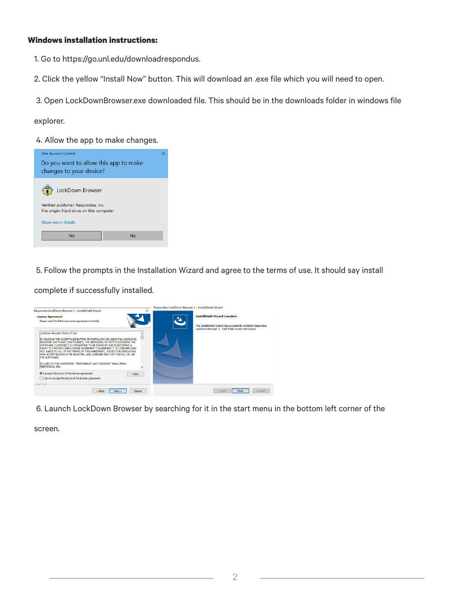## **Windows installation instructions:**

- 1. Go to https://go.unl.edu/downloadrespondus.
- 2. Click the yellow "Install Now" button. This will download an .exe file which you will need to open.
- 3. Open LockDownBrowser.exe downloaded file. This should be in the downloads folder in windows file

explorer.

4. Allow the app to make changes.

| <b>User Account Control</b>                                                     |  |
|---------------------------------------------------------------------------------|--|
| Do you want to allow this app to make<br>changes to your device?                |  |
| LockDown Browser                                                                |  |
| Verified publisher: Respondus, Inc.<br>File origin: Hard drive on this computer |  |
| Show more details                                                               |  |
| Yes<br>No                                                                       |  |
|                                                                                 |  |

5. Follow the prompts in the Installation Wizard and agree to the terms of use. It should say install

complete if successfully installed.



6. Launch LockDown Browser by searching for it in the start menu in the bottom left corner of the

screen.